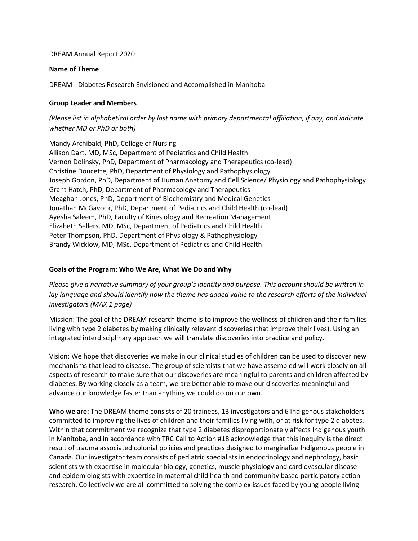### DREAM Annual Report 2020

### **Name of Theme**

DREAM - Diabetes Research Envisioned and Accomplished in Manitoba

### **Group Leader and Members**

*(Please list in alphabetical order by last name with primary departmental affiliation, if any, and indicate whether MD or PhD or both)*

Mandy Archibald, PhD, College of Nursing Allison Dart, MD, MSc, Department of Pediatrics and Child Health Vernon Dolinsky, PhD, Department of Pharmacology and Therapeutics (co-lead) Christine Doucette, PhD, Department of Physiology and Pathophysiology Joseph Gordon, PhD, Department of Human Anatomy and Cell Science/ Physiology and Pathophysiology Grant Hatch, PhD, Department of Pharmacology and Therapeutics Meaghan Jones, PhD, Department of Biochemistry and Medical Genetics Jonathan McGavock, PhD, Department of Pediatrics and Child Health (co-lead) Ayesha Saleem, PhD, Faculty of Kinesiology and Recreation Management Elizabeth Sellers, MD, MSc, Department of Pediatrics and Child Health Peter Thompson, PhD, Department of Physiology & Pathophysiology Brandy Wicklow, MD, MSc, Department of Pediatrics and Child Health

### **Goals of the Program: Who We Are, What We Do and Why**

*Please give a narrative summary of your group's identity and purpose. This account should be written in lay language and should identify how the theme has added value to the research efforts of the individual investigators (MAX 1 page)*

Mission: The goal of the DREAM research theme is to improve the wellness of children and their families living with type 2 diabetes by making clinically relevant discoveries (that improve their lives). Using an integrated interdisciplinary approach we will translate discoveries into practice and policy.

Vision: We hope that discoveries we make in our clinical studies of children can be used to discover new mechanisms that lead to disease. The group of scientists that we have assembled will work closely on all aspects of research to make sure that our discoveries are meaningful to parents and children affected by diabetes. By working closely as a team, we are better able to make our discoveries meaningful and advance our knowledge faster than anything we could do on our own.

**Who we are:** The DREAM theme consists of 20 trainees, 13 investigators and 6 Indigenous stakeholders committed to improving the lives of children and their families living with, or at risk for type 2 diabetes. Within that commitment we recognize that type 2 diabetes disproportionately affects Indigenous youth in Manitoba, and in accordance with TRC Call to Action #18 acknowledge that this inequity is the direct result of trauma associated colonial policies and practices designed to marginalize Indigenous people in Canada. Our investigator team consists of pediatric specialists in endocrinology and nephrology, basic scientists with expertise in molecular biology, genetics, muscle physiology and cardiovascular disease and epidemiologists with expertise in maternal child health and community based participatory action research. Collectively we are all committed to solving the complex issues faced by young people living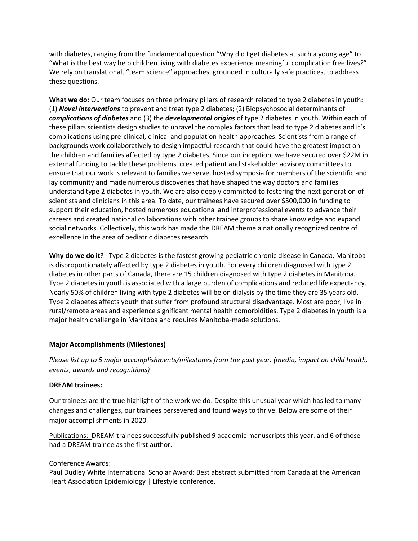with diabetes, ranging from the fundamental question "Why did I get diabetes at such a young age" to "What is the best way help children living with diabetes experience meaningful complication free lives?" We rely on translational, "team science" approaches, grounded in culturally safe practices, to address these questions.

**What we do:** Our team focuses on three primary pillars of research related to type 2 diabetes in youth: (1) *Novel interventions* to prevent and treat type 2 diabetes; (2) Biopsychosocial determinants of *complications of diabetes* and (3) the *developmental origins* of type 2 diabetes in youth. Within each of these pillars scientists design studies to unravel the complex factors that lead to type 2 diabetes and it's complications using pre-clinical, clinical and population health approaches. Scientists from a range of backgrounds work collaboratively to design impactful research that could have the greatest impact on the children and families affected by type 2 diabetes. Since our inception, we have secured over \$22M in external funding to tackle these problems, created patient and stakeholder advisory committees to ensure that our work is relevant to families we serve, hosted symposia for members of the scientific and lay community and made numerous discoveries that have shaped the way doctors and families understand type 2 diabetes in youth. We are also deeply committed to fostering the next generation of scientists and clinicians in this area. To date, our trainees have secured over \$500,000 in funding to support their education, hosted numerous educational and interprofessional events to advance their careers and created national collaborations with other trainee groups to share knowledge and expand social networks. Collectively, this work has made the DREAM theme a nationally recognized centre of excellence in the area of pediatric diabetes research.

**Why do we do it?** Type 2 diabetes is the fastest growing pediatric chronic disease in Canada. Manitoba is disproportionately affected by type 2 diabetes in youth. For every children diagnosed with type 2 diabetes in other parts of Canada, there are 15 children diagnosed with type 2 diabetes in Manitoba. Type 2 diabetes in youth is associated with a large burden of complications and reduced life expectancy. Nearly 50% of children living with type 2 diabetes will be on dialysis by the time they are 35 years old. Type 2 diabetes affects youth that suffer from profound structural disadvantage. Most are poor, live in rural/remote areas and experience significant mental health comorbidities. Type 2 diabetes in youth is a major health challenge in Manitoba and requires Manitoba-made solutions.

### **Major Accomplishments (Milestones)**

*Please list up to 5 major accomplishments/milestones from the past year. (media, impact on child health, events, awards and recognitions)*

#### **DREAM trainees:**

Our trainees are the true highlight of the work we do. Despite this unusual year which has led to many changes and challenges, our trainees persevered and found ways to thrive. Below are some of their major accomplishments in 2020.

Publications: DREAM trainees successfully published 9 academic manuscripts this year, and 6 of those had a DREAM trainee as the first author.

#### Conference Awards:

Paul Dudley White International Scholar Award: Best abstract submitted from Canada at the American Heart Association Epidemiology | Lifestyle conference.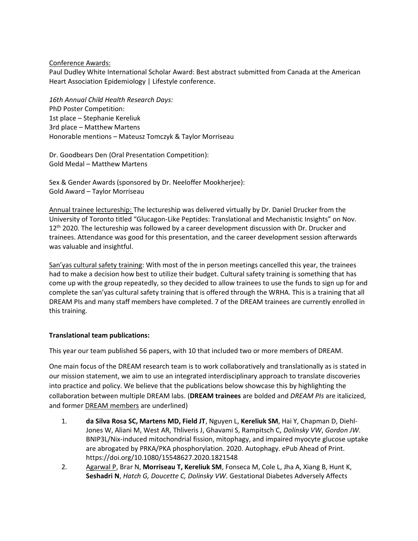Conference Awards:

Paul Dudley White International Scholar Award: Best abstract submitted from Canada at the American Heart Association Epidemiology | Lifestyle conference.

*16th Annual Child Health Research Days:* PhD Poster Competition: 1st place – Stephanie Kereliuk 3rd place – Matthew Martens Honorable mentions – Mateusz Tomczyk & Taylor Morriseau

Dr. Goodbears Den (Oral Presentation Competition): Gold Medal – Matthew Martens

Sex & Gender Awards (sponsored by Dr. Neeloffer Mookherjee): Gold Award – Taylor Morriseau

Annual trainee lectureship: The lectureship was delivered virtually by Dr. Daniel Drucker from the University of Toronto titled "Glucagon-Like Peptides: Translational and Mechanistic Insights" on Nov. 12<sup>th</sup> 2020. The lectureship was followed by a career development discussion with Dr. Drucker and trainees. Attendance was good for this presentation, and the career development session afterwards was valuable and insightful.

San'yas cultural safety training: With most of the in person meetings cancelled this year, the trainees had to make a decision how best to utilize their budget. Cultural safety training is something that has come up with the group repeatedly, so they decided to allow trainees to use the funds to sign up for and complete the san'yas cultural safety training that is offered through the WRHA. This is a training that all DREAM PIs and many staff members have completed. 7 of the DREAM trainees are currently enrolled in this training.

# **Translational team publications:**

This year our team published 56 papers, with 10 that included two or more members of DREAM.

One main focus of the DREAM research team is to work collaboratively and translationally as is stated in our mission statement, we aim to use an integrated interdisciplinary approach to translate discoveries into practice and policy. We believe that the publications below showcase this by highlighting the collaboration between multiple DREAM labs. (**DREAM trainees** are bolded and *DREAM PIs* are italicized, and former DREAM members are underlined)

- 1. **da Silva Rosa SC, Martens MD, Field JT**, Nguyen L, **Kereliuk SM**, Hai Y, Chapman D, Diehl-Jones W, Aliani M, West AR, Thliveris J, Ghavami S, Rampitsch C, *Dolinsky VW*, *Gordon JW*. BNIP3L/Nix-induced mitochondrial fission, mitophagy, and impaired myocyte glucose uptake are abrogated by PRKA/PKA phosphorylation. 2020. Autophagy. ePub Ahead of Print. https://doi.org/10.1080/15548627.2020.1821548
- 2. Agarwal P, Brar N, **Morriseau T, Kereliuk SM**, Fonseca M, Cole L, Jha A, Xiang B, Hunt K, **Seshadri N**, *Hatch G, Doucette C, Dolinsky VW*. Gestational Diabetes Adversely Affects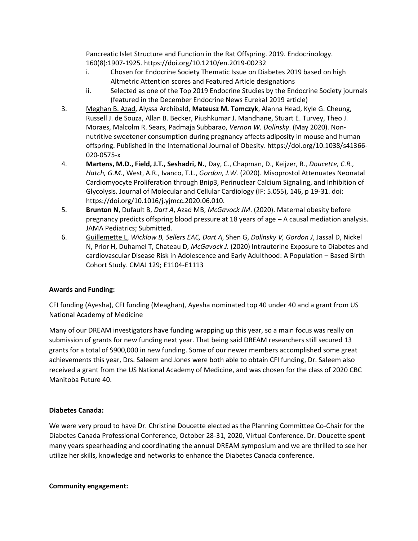Pancreatic Islet Structure and Function in the Rat Offspring. 2019. Endocrinology. 160(8):1907-1925. https://doi.org/10.1210/en.2019-00232

- i. Chosen for Endocrine Society Thematic Issue on Diabetes 2019 based on high Altmetric Attention scores and Featured Article designations
- ii. Selected as one of the Top 2019 Endocrine Studies by the Endocrine Society journals (featured in the December Endocrine News Eureka! 2019 article)
- 3. Meghan B. Azad, Alyssa Archibald, **Mateusz M. Tomczyk**, Alanna Head, Kyle G. Cheung, Russell J. de Souza, Allan B. Becker, Piushkumar J. Mandhane, Stuart E. Turvey, Theo J. Moraes, Malcolm R. Sears, Padmaja Subbarao, *Vernon W. Dolinsky*. (May 2020). Nonnutritive sweetener consumption during pregnancy affects adiposity in mouse and human offspring. Published in the International Journal of Obesity. https://doi.org/10.1038/s41366- 020-0575-x
- 4. **Martens, M.D., Field, J.T., Seshadri, N.**, Day, C., Chapman, D., Keijzer, R., *Doucette, C.R., Hatch, G.M.*, West, A.R., Ivanco, T.L., *Gordon, J.W.* (2020). Misoprostol Attenuates Neonatal Cardiomyocyte Proliferation through Bnip3, Perinuclear Calcium Signaling, and Inhibition of Glycolysis. Journal of Molecular and Cellular Cardiology (IF: 5.055), 146, p 19-31. doi: https://doi.org/10.1016/j.yjmcc.2020.06.010.
- 5. **Brunton N**, Dufault B, *Dart A*, Azad MB, *McGavock JM*. (2020). Maternal obesity before pregnancy predicts offspring blood pressure at 18 years of age – A causal mediation analysis. JAMA Pediatrics; Submitted.
- 6. Guillemette L, *Wicklow B, Sellers EAC, Dart A*, Shen G, *Dolinsky V, Gordon J*, Jassal D, Nickel N, Prior H, Duhamel T, Chateau D, *McGavock J.* (2020) Intrauterine Exposure to Diabetes and cardiovascular Disease Risk in Adolescence and Early Adulthood: A Population – Based Birth Cohort Study. CMAJ 129; E1104-E1113

# **Awards and Funding:**

CFI funding (Ayesha), CFI funding (Meaghan), Ayesha nominated top 40 under 40 and a grant from US National Academy of Medicine

Many of our DREAM investigators have funding wrapping up this year, so a main focus was really on submission of grants for new funding next year. That being said DREAM researchers still secured 13 grants for a total of \$900,000 in new funding. Some of our newer members accomplished some great achievements this year, Drs. Saleem and Jones were both able to obtain CFI funding, Dr. Saleem also received a grant from the US National Academy of Medicine, and was chosen for the class of 2020 CBC Manitoba Future 40.

# **Diabetes Canada:**

We were very proud to have Dr. Christine Doucette elected as the Planning Committee Co-Chair for the Diabetes Canada Professional Conference, October 28-31, 2020, Virtual Conference. Dr. Doucette spent many years spearheading and coordinating the annual DREAM symposium and we are thrilled to see her utilize her skills, knowledge and networks to enhance the Diabetes Canada conference.

# **Community engagement:**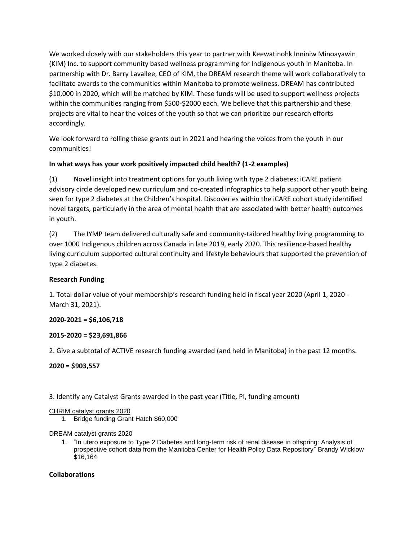We worked closely with our stakeholders this year to partner with Keewatinohk Inniniw Minoayawin (KIM) Inc. to support community based wellness programming for Indigenous youth in Manitoba. In partnership with Dr. Barry Lavallee, CEO of KIM, the DREAM research theme will work collaboratively to facilitate awards to the communities within Manitoba to promote wellness. DREAM has contributed \$10,000 in 2020, which will be matched by KIM. These funds will be used to support wellness projects within the communities ranging from \$500-\$2000 each. We believe that this partnership and these projects are vital to hear the voices of the youth so that we can prioritize our research efforts accordingly.

We look forward to rolling these grants out in 2021 and hearing the voices from the youth in our communities!

# **In what ways has your work positively impacted child health? (1-2 examples)**

(1) Novel insight into treatment options for youth living with type 2 diabetes: iCARE patient advisory circle developed new curriculum and co-created infographics to help support other youth being seen for type 2 diabetes at the Children's hospital. Discoveries within the iCARE cohort study identified novel targets, particularly in the area of mental health that are associated with better health outcomes in youth.

(2) The IYMP team delivered culturally safe and community-tailored healthy living programming to over 1000 Indigenous children across Canada in late 2019, early 2020. This resilience-based healthy living curriculum supported cultural continuity and lifestyle behaviours that supported the prevention of type 2 diabetes.

# **Research Funding**

1. Total dollar value of your membership's research funding held in fiscal year 2020 (April 1, 2020 - March 31, 2021).

# **2020-2021 = \$6,106,718**

# **2015-2020 = \$23,691,866**

2. Give a subtotal of ACTIVE research funding awarded (and held in Manitoba) in the past 12 months.

# **2020 = \$903,557**

# 3. Identify any Catalyst Grants awarded in the past year (Title, PI, funding amount)

# CHRIM catalyst grants 2020

1. Bridge funding Grant Hatch \$60,000

# DREAM catalyst grants 2020

1. "In utero exposure to Type 2 Diabetes and long-term risk of renal disease in offspring: Analysis of prospective cohort data from the Manitoba Center for Health Policy Data Repository" Brandy Wicklow \$16,164

# **Collaborations**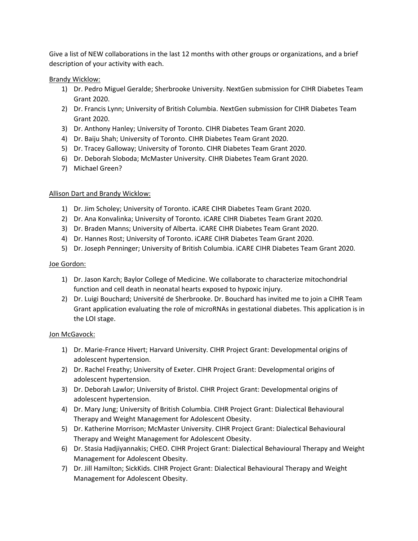Give a list of NEW collaborations in the last 12 months with other groups or organizations, and a brief description of your activity with each.

### Brandy Wicklow:

- 1) Dr. Pedro Miguel Geralde; Sherbrooke University. NextGen submission for CIHR Diabetes Team Grant 2020.
- 2) Dr. Francis Lynn; University of British Columbia. NextGen submission for CIHR Diabetes Team Grant 2020.
- 3) Dr. Anthony Hanley; University of Toronto. CIHR Diabetes Team Grant 2020.
- 4) Dr. Baiju Shah; University of Toronto. CIHR Diabetes Team Grant 2020.
- 5) Dr. Tracey Galloway; University of Toronto. CIHR Diabetes Team Grant 2020.
- 6) Dr. Deborah Sloboda; McMaster University. CIHR Diabetes Team Grant 2020.
- 7) Michael Green?

## Allison Dart and Brandy Wicklow:

- 1) Dr. Jim Scholey; University of Toronto. iCARE CIHR Diabetes Team Grant 2020.
- 2) Dr. Ana Konvalinka; University of Toronto. iCARE CIHR Diabetes Team Grant 2020.
- 3) Dr. Braden Manns; University of Alberta. iCARE CIHR Diabetes Team Grant 2020.
- 4) Dr. Hannes Rost; University of Toronto. iCARE CIHR Diabetes Team Grant 2020.
- 5) Dr. Joseph Penninger; University of British Columbia. iCARE CIHR Diabetes Team Grant 2020.

## Joe Gordon:

- 1) Dr. Jason Karch; Baylor College of Medicine. We collaborate to characterize mitochondrial function and cell death in neonatal hearts exposed to hypoxic injury.
- 2) Dr. Luigi Bouchard; Université de Sherbrooke. Dr. Bouchard has invited me to join a CIHR Team Grant application evaluating the role of microRNAs in gestational diabetes. This application is in the LOI stage.

### Jon McGavock:

- 1) Dr. Marie-France Hivert; Harvard University. CIHR Project Grant: Developmental origins of adolescent hypertension.
- 2) Dr. Rachel Freathy; University of Exeter. CIHR Project Grant: Developmental origins of adolescent hypertension.
- 3) Dr. Deborah Lawlor; University of Bristol. CIHR Project Grant: Developmental origins of adolescent hypertension.
- 4) Dr. Mary Jung; University of British Columbia. CIHR Project Grant: Dialectical Behavioural Therapy and Weight Management for Adolescent Obesity.
- 5) Dr. Katherine Morrison; McMaster University. CIHR Project Grant: Dialectical Behavioural Therapy and Weight Management for Adolescent Obesity.
- 6) Dr. Stasia Hadjiyannakis; CHEO. CIHR Project Grant: Dialectical Behavioural Therapy and Weight Management for Adolescent Obesity.
- 7) Dr. Jill Hamilton; SickKids. CIHR Project Grant: Dialectical Behavioural Therapy and Weight Management for Adolescent Obesity.